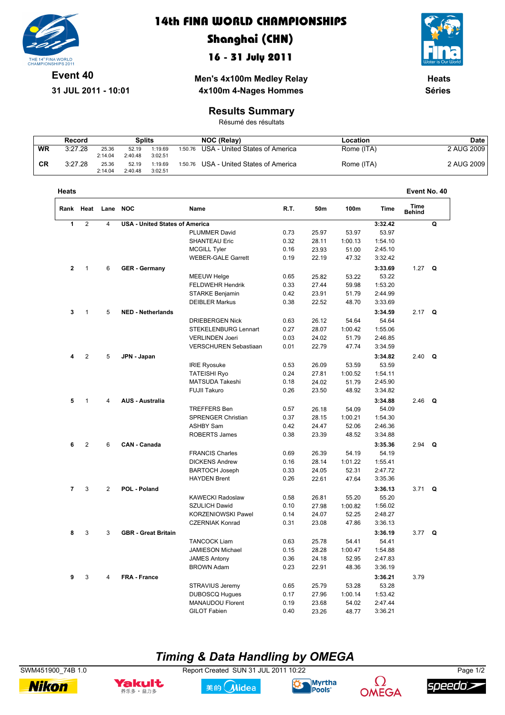

**31 JUL 2011 10:01**

#### **14th FINA WORLD CHAMPIONSHIPS**

### **Shanghai (CHN)**

#### **16 - 31 July 2011**

**Men's 4x100m Medley Relay**



**Heats Séries**

# **4x100m 4-Nages Hommes Results Summary**

Résumé des résultats

|           | Record  |         | Splits  |         | <b>NOC (Relav)</b> |                                        | Location   | Date       |  |
|-----------|---------|---------|---------|---------|--------------------|----------------------------------------|------------|------------|--|
| WR        | 3:27.28 | 25.36   | 52.19   | 1:19.69 |                    | 1:50.76 USA - United States of America | Rome (ITA) | 2 AUG 2009 |  |
|           |         | 2:14.04 | 2:40.48 | 3:02.51 |                    |                                        |            |            |  |
| <b>CR</b> | 3:27.28 | 25.36   | 52.19   | 1:19.69 |                    | 1:50.76 USA - United States of America | Rome (ITA) | 2 AUG 2009 |  |
|           |         | 2:14.04 | 2:40.48 | 3:02.51 |                    |                                        |            |            |  |

| Heats          |                |                            |                                       |                             |       |         |         |             | Event No. 40                 |   |
|----------------|----------------|----------------------------|---------------------------------------|-----------------------------|-------|---------|---------|-------------|------------------------------|---|
| Rank           | Heat           | Lane NOC                   |                                       | Name                        | R.T.  | 50m     | 100m    | <b>Time</b> | <b>Time</b><br><b>Behind</b> |   |
| 1              | $\overline{2}$ | $\overline{4}$             | <b>USA - United States of America</b> |                             |       |         |         | 3:32.42     |                              | Q |
|                |                |                            |                                       | <b>PLUMMER David</b>        | 0.73  | 25.97   | 53.97   | 53.97       |                              |   |
|                |                |                            |                                       | <b>SHANTEAU Eric</b>        | 0.32  | 28.11   | 1:00.13 | 1:54.10     |                              |   |
|                |                |                            |                                       | <b>MCGILL Tyler</b>         | 0.16  | 23.93   | 51.00   | 2:45.10     |                              |   |
|                |                |                            |                                       | <b>WEBER-GALE Garrett</b>   | 0.19  | 22.19   | 47.32   | 3:32.42     |                              |   |
| $\mathbf{2}$   | $\mathbf{1}$   | 6                          | <b>GER</b> - Germany                  |                             |       |         |         | 3:33.69     | 1.27                         | Q |
|                |                |                            |                                       | <b>MEEUW Helge</b>          | 0.65  | 25.82   | 53.22   | 53.22       |                              |   |
|                |                |                            |                                       | FELDWEHR Hendrik            | 0.33  | 27.44   | 59.98   | 1:53.20     |                              |   |
|                |                |                            |                                       | STARKE Benjamin             | 0.42  | 23.91   | 51.79   | 2:44.99     |                              |   |
|                |                |                            |                                       | <b>DEIBLER Markus</b>       | 0.38  | 22.52   | 48.70   | 3:33.69     |                              |   |
| 3              | $\mathbf{1}$   | 5                          | <b>NED - Netherlands</b>              |                             |       |         |         | 3:34.59     | 2.17                         | Q |
|                |                |                            |                                       | <b>DRIEBERGEN Nick</b>      | 0.63  | 26.12   | 54.64   | 54.64       |                              |   |
|                |                |                            |                                       | <b>STEKELENBURG Lennart</b> | 0.27  | 28.07   | 1:00.42 | 1:55.06     |                              |   |
|                |                |                            |                                       | <b>VERLINDEN Joeri</b>      | 0.03  | 24.02   | 51.79   | 2:46.85     |                              |   |
|                |                |                            |                                       | VERSCHUREN Sebastiaan       | 0.01  | 22.79   | 47.74   | 3:34.59     |                              |   |
| 4              | 2              | 5                          | JPN - Japan                           |                             |       |         |         | 3:34.82     | 2.40                         | Q |
|                |                |                            |                                       | <b>IRIE Ryosuke</b>         | 0.53  | 26.09   | 53.59   | 53.59       |                              |   |
|                |                |                            |                                       | <b>TATEISHI Ryo</b>         | 0.24  | 27.81   | 1:00.52 | 1:54.11     |                              |   |
|                |                |                            |                                       | MATSUDA Takeshi             | 0.18  | 24.02   | 51.79   | 2:45.90     |                              |   |
|                |                |                            |                                       | <b>FUJII Takuro</b>         | 0.26  | 23.50   | 48.92   | 3:34.82     |                              |   |
|                |                |                            |                                       |                             |       |         |         |             |                              |   |
| 5              | $\mathbf{1}$   | 4                          | <b>AUS - Australia</b>                |                             |       |         |         | 3:34.88     | 2.46 $Q$                     |   |
|                |                |                            |                                       | <b>TREFFERS Ben</b>         | 0.57  | 26.18   | 54.09   | 54.09       |                              |   |
|                |                |                            |                                       | SPRENGER Christian          | 0.37  | 28.15   | 1:00.21 | 1:54.30     |                              |   |
|                |                |                            |                                       | <b>ASHBY Sam</b>            | 0.42  | 24.47   | 52.06   | 2:46.36     |                              |   |
|                |                |                            |                                       | <b>ROBERTS James</b>        | 0.38  | 23.39   | 48.52   | 3:34.88     |                              |   |
| 6              | $\overline{2}$ | 6                          | <b>CAN - Canada</b>                   |                             |       |         |         | 3:35.36     | 2.94                         | Q |
|                |                |                            |                                       | <b>FRANCIS Charles</b>      | 0.69  | 26.39   | 54.19   | 54.19       |                              |   |
|                |                |                            |                                       | <b>DICKENS Andrew</b>       | 0.16  | 28.14   | 1:01.22 | 1:55.41     |                              |   |
|                |                |                            |                                       | <b>BARTOCH Joseph</b>       | 0.33  | 24.05   | 52.31   | 2:47.72     |                              |   |
|                |                |                            |                                       | <b>HAYDEN Brent</b>         | 0.26  | 22.61   | 47.64   | 3:35.36     |                              |   |
| $\overline{7}$ | 3              | $\overline{2}$             | POL - Poland                          |                             |       |         |         | 3:36.13     | 3.71                         | Q |
|                |                |                            |                                       | KAWECKI Radoslaw            | 0.58  | 26.81   | 55.20   | 55.20       |                              |   |
|                |                |                            |                                       | SZULICH Dawid               | 0.10  | 27.98   | 1:00.82 | 1:56.02     |                              |   |
|                |                |                            |                                       | KORZENIOWSKI Pawel          | 0.14  | 24.07   | 52.25   | 2:48.27     |                              |   |
|                |                |                            |                                       | <b>CZERNIAK Konrad</b>      | 0.31  | 23.08   | 47.86   | 3:36.13     |                              |   |
| 3<br>8         | 3              | <b>GBR</b> - Great Britain |                                       |                             |       |         | 3:36.19 | 3.77 Q      |                              |   |
|                |                |                            | <b>TANCOCK Liam</b>                   | 0.63                        | 25.78 | 54.41   | 54.41   |             |                              |   |
|                |                |                            | JAMIESON Michael                      | 0.15                        | 28.28 | 1:00.47 | 1:54.88 |             |                              |   |
|                |                |                            |                                       | <b>JAMES Antony</b>         | 0.36  | 24.18   | 52.95   | 2:47.83     |                              |   |
|                |                |                            |                                       | <b>BROWN Adam</b>           | 0.23  | 22.91   | 48.36   | 3:36.19     |                              |   |
| 9              | 3              | 4                          | <b>FRA - France</b>                   |                             |       |         |         | 3:36.21     | 3.79                         |   |
|                |                |                            |                                       | STRAVIUS Jeremy             | 0.65  | 25.79   | 53.28   | 53.28       |                              |   |
|                |                |                            |                                       | <b>DUBOSCQ Hugues</b>       | 0.17  | 27.96   | 1:00.14 | 1:53.42     |                              |   |
|                |                |                            |                                       | <b>MANAUDOU Florent</b>     | 0.19  | 23.68   | 54.02   | 2:47.44     |                              |   |
|                |                |                            |                                       | <b>GILOT Fabien</b>         | 0.40  | 23.26   | 48.77   | 3:36.21     |                              |   |
|                |                |                            |                                       |                             |       |         |         |             |                              |   |

### *Timing & Data Handling by OMEGA*

SWM451900\_74B 1.0 Report Created SUN 31 JUL 2011 10:22 Page 1/2

**Nikon**